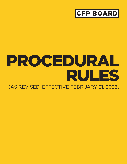

# PROCEDURAL RULES

(AS REVISED, EFFECTIVE FEBRUARY 21, 2022)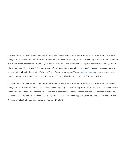In November 2021, the Board of Directors of Certified Financial Planner Board of Standards, Inc. (CFP Board), adopted changes to the *Procedural Rules* that do not become effective until January 2024. Those changes, which are not reflected in this document, will modify Articles 3.3, 3.4, and 11.1 to address the delivery of a Complaint for Failure to Timely Report Information and a Respondent's Answer to such a Complaint, and to permit a Respondent to accept without a hearing or hearing fee a Public Censure for Failure to Timely Report Information. [View a redlined document that includes these](https://www.cfp.net/-/media/files/cfp-board/standards-and-ethics/enforcement/2021/CFP-Board-Procedural-Rules-Revised-2021-11-Redline.pdf)  [changes.](https://www.cfp.net/-/media/files/cfp-board/standards-and-ethics/enforcement/2021/CFP-Board-Procedural-Rules-Revised-2021-11-Redline.pdf) When these changes become effective, CFP Board will update the *Procedural Rules* accordingly.

In December 2021, the Board of Directors of Certified Financial Planner Board of Standards, Inc. (CFP Board), adopted changes to the Procedural Rules. As a result of the change, appeals filed on or prior to February 20, 2022 will be decided by the Code and Standards Enforcement Committee in accordance with the Procedural Rules that became effective on January 1, 2022. Appeals filed after February 20, 2022, will be decided the Appeals Commission in accordance with the Procedural Rules that became effective on February 21, 2022.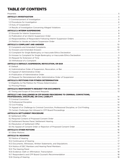# TABLE OF CONTENTS

| ARTICLE 7: NO CHALLENGES IN CFP BOARD PROCEEDING TO CRIMINAL CONVICTIONS.                       |  |
|-------------------------------------------------------------------------------------------------|--|
|                                                                                                 |  |
|                                                                                                 |  |
|                                                                                                 |  |
|                                                                                                 |  |
| 7.4 Appeal of or Challenge to Criminal Conviction, Professional Discipline, or Civil Finding 14 |  |
|                                                                                                 |  |
|                                                                                                 |  |
|                                                                                                 |  |
|                                                                                                 |  |
|                                                                                                 |  |
|                                                                                                 |  |
|                                                                                                 |  |
|                                                                                                 |  |
|                                                                                                 |  |
|                                                                                                 |  |
|                                                                                                 |  |
|                                                                                                 |  |
|                                                                                                 |  |
|                                                                                                 |  |
|                                                                                                 |  |
|                                                                                                 |  |
|                                                                                                 |  |
|                                                                                                 |  |
|                                                                                                 |  |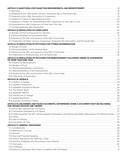| 12.4 Publication of Public Censure, Suspension, Temporary Bar, Revocation, and Permanent Bar  21                                                                                                                               |  |
|--------------------------------------------------------------------------------------------------------------------------------------------------------------------------------------------------------------------------------|--|
|                                                                                                                                                                                                                                |  |
| 13.1 Burden of Proof (and according to the control of the control of the control of the control of the control of the control of the control of the control of the control of the control of the control of the control of the |  |
|                                                                                                                                                                                                                                |  |
|                                                                                                                                                                                                                                |  |
|                                                                                                                                                                                                                                |  |
| ARTICLE 14: RESOLUTION OF PETITIONS FOR REINSTATEMENT FOLLOWING ORDER OF SUSPENSION                                                                                                                                            |  |
|                                                                                                                                                                                                                                |  |
|                                                                                                                                                                                                                                |  |
|                                                                                                                                                                                                                                |  |
|                                                                                                                                                                                                                                |  |
|                                                                                                                                                                                                                                |  |
|                                                                                                                                                                                                                                |  |
|                                                                                                                                                                                                                                |  |
|                                                                                                                                                                                                                                |  |
|                                                                                                                                                                                                                                |  |
|                                                                                                                                                                                                                                |  |
|                                                                                                                                                                                                                                |  |
|                                                                                                                                                                                                                                |  |
|                                                                                                                                                                                                                                |  |
|                                                                                                                                                                                                                                |  |
|                                                                                                                                                                                                                                |  |
|                                                                                                                                                                                                                                |  |
| ARTICLE 16: DELIVERING AND FILING DOCUMENTS, DETERMINING WHEN A DOCUMENT MUST BE DELIVERED,                                                                                                                                    |  |
|                                                                                                                                                                                                                                |  |
|                                                                                                                                                                                                                                |  |
|                                                                                                                                                                                                                                |  |
| 16.3 Orders Issued by the DEC and the Appeals Commission, and Notices and Orders Delivered by CFP Board Counsel  27                                                                                                            |  |
|                                                                                                                                                                                                                                |  |
|                                                                                                                                                                                                                                |  |
|                                                                                                                                                                                                                                |  |
|                                                                                                                                                                                                                                |  |
|                                                                                                                                                                                                                                |  |
|                                                                                                                                                                                                                                |  |
|                                                                                                                                                                                                                                |  |
|                                                                                                                                                                                                                                |  |
|                                                                                                                                                                                                                                |  |
|                                                                                                                                                                                                                                |  |
|                                                                                                                                                                                                                                |  |
|                                                                                                                                                                                                                                |  |
|                                                                                                                                                                                                                                |  |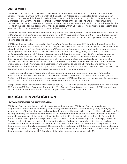# <span id="page-4-0"></span>PREAMBLE

CFP Board is a non-profit organization that has established high standards of competency and ethics for personal financial planners for the benefit of the public. CFP Board enforces its standards through a peerreview process set forth in these *Procedural Rules* that is credible to the public and fair to those whose conduct CFP Board is evaluating. The process includes written notice of the allegations and potential grounds for sanction, an opportunity to present documents, witnesses, and argument at a hearing, and a written order that sets forth the basis for the decision that may be appealed within CFP Board. The parties to a proceeding also have the right to be represented by counsel of their choice.

CFP Board applies these *Procedural Rules* to any person who has agreed to CFP Board's *Terms and Conditions of Certification and Trademark License or Pathway to CFP® Certification Agreement*. CFP Board refers to such an individual as "Respondent" or, in the event of an appeal, as either "Appellant" or "Appellee," depending on who initiates the appeal.

CFP Board Counsel (a term, as used in the *Procedural Rules*, that includes CFP Board staff operating at the direction of CFP Board Counsel) has the authority to investigate and file a Complaint against a Respondent for alleged violations of (a) the *Code of Ethics and Standards of Conduct* or, where applicable, its predecessors, including the *Standards of Professional Conduct ("Code and Standards")*, or (b) the *Pathway to CFP® Certification Agreement*. CFP Board's Disciplinary and Ethics Commission (the "DEC"), which is composed of CFP® professionals and members of the public, has the authority to issue a final order that finds facts, determines whether a violation has occurred and, where appropriate, imposes discipline in the form of a sanction. Such a sanction may include, but is not limited to, a private censure, a public censure, a suspension or revocation of a CFP® professional's Certification and License to use the CFP® marks, or a temporary or permanent bar on Respondent's ability to obtain CFP® certification. In the event there is a public sanction, CFP Board will publish the decision in a press release and on CFP Board's website.

In certain circumstances, a Respondent who is subject to an order of suspension may file a Petition for Reinstatement, and a Respondent who is required to demonstrate fitness for CFP® Certification may file a Petition for Fitness Determination. In those circumstances, CFP Board Counsel has the authority to investigate and the DEC has the authority to issue a final DEC order that resolves the Petition.

Except where these *Procedural Rules* otherwise specify, CFP Board Counsel or Respondent may appeal a final DEC order to CFP Board's Appeals Commission. The Appeals Commission is composed of CFP® professionals and members of the public and has the authority to issue CFP Board's final decision.

# ARTICLE 1: INVESTIGATION

# 1.1 COMMENCEMENT OF INVESTIGATION

CFP Board Counsel has the authority to investigate a Respondent. CFP Board Counsel may deliver to Respondent a written Notice of Investigation stating that Respondent is under investigation, identifying the general nature of the investigation, and providing Respondent the email address and mailing address to use for delivery and filing in accordance with Article 16. Respondent must deliver to CFP Board Counsel a document acknowledging receipt of the Notice of Investigation within 30 calendar days from delivery to Respondent of the Notice of Investigation. If Respondent fails to deliver a timely acknowledgement of receipt, CFP Board Counsel must re-deliver the Notice of Investigation via certified mail or overnight mail using the mailing address Respondent provided to CFP Board, or such other address that CFP Board reasonably believes to be Respondent's current mailing address. If Respondent fails to deliver to CFP Board a document acknowledging receipt of the Notice of Investigation within 30 calendar days of delivery of the second Notice of Investigation, Respondent is in default and CFP Board may take action in accordance with Article 4.1.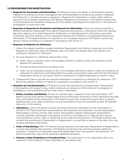#### <span id="page-5-0"></span>1.2 PROCEDURES FOR INVESTIGATION

- a. Requests for Documents and Information. CFP Board Counsel may deliver to Respondent requests relating to or arising out of the investigation that ask Respondent to produce documents ("Requests for Production"), provide answers to questions ("Requests for Information"), and/or either admit or deny the truth of matters asserted by CFP Board ("Requests for Admission"). CFP Board Counsel may include Requests for Production, Requests for Information, and Requests for Admission in the Notice of Investigation or send them later.
- b. Response to Requests for Production and Requests for Information. Unless the request specifies a different timeframe, Respondent must deliver responsive documents or information within 30 calendar days from delivery of an initial Request for Production or initial Request for Information, and within 14 calendar days from delivery of any subsequent Request for Production or subsequent Request for Information. If CFP Board receives no response or an incomplete response, CFP Board Counsel may deliver a Notice of Failure to Cooperate in accordance with Article 1.3.

#### c. Response to Requests for Admission.

- 1. Unless the request specifies a longer timeframe, Respondent must deliver a response to an initial Request for Admission within 30 calendar days, and within 14 calendar days from delivery of a subsequent Request for Admission.
- 2. For each Request for Admission, Respondent must:
	- a) Admit, deny, or declare a lack of knowledge sufficient to admit or deny the substance of the Request for Admission;
	- b) Provide the factual basis for any denial, and
	- c) State, for any declaration based on lack of knowledge sufficient to admit or deny the substance of a Request for Admission, that Respondent has made a reasonable inquiry and that the information Respondent knows or can readily obtain is insufficient to enable Respondent to admit or deny.
- 3. If Respondent fails to provide the required information in response to a Request for Admission, CFP Board may deliver a Notice of Failure to Cooperate in accordance with Article 1.3.
- d. **Questions by Oral Examination.** CFP Board Counsel may question by oral examination Respondent or third parties with respect to any matter relating to or arising out of the Notice of Investigation or investigation. The examination will be under oath or affirmation.
	- 1. Notice, Location, and Method. At least 14 calendar days in advance of the oral examination, CFP Board Counsel must deliver to Respondent and any third-party examinee a notice identifying the date, time, and location of the examination. CFP Board Counsel may conduct the examination in person, telephonically, or by video conference. All oral examinations must be completed at least 30 calendar days prior to the hearing.
	- 2. **Attendance.** Unless CFP Board Counsel otherwise authorizes, attendance at the examination is limited to CFP Board staff and representatives, the examinee, the examinee's counsel, Respondent, Respondent's counsel, and the video and/or stenographic reporter. Respondent, Respondent's counsel, witnesses, and experts may appear in person or by telephone or video at any in person oral examination, and by video or telephone at any video oral examination. CFP Board Counsel may conduct the examination if Respondent or Respondent's counsel fails to appear at the date, time, and location specified in the Notice.
	- 3. **Order of Questioning.** After CFP Board Counsel questions the examinee, Respondent or Respondent's counsel may question the examinee. CFP Board Counsel then may ask the examinee additional questions. Counsel for an examinee other than Respondent then may question the examinee. CFP Board Counsel then may ask the examinee additional questions.
	- 4. Federal or State Evidentiary or Procedural Rules. The examination is not a deposition and is not required to follow federal or state evidentiary or procedural rules.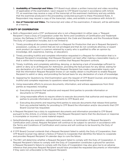- <span id="page-6-0"></span>5. **Availability of Transcript and Video.** CFP Board must obtain a written transcript and video recording (if applicable) of the examination. Upon request to CFP Board Counsel in accordance with Article 17.1, an examinee may receive a copy of the transcript of the examinee's testimony and any exhibits that the examinee produced in the proceeding conducted pursuant to these *Procedural Rules*. A Respondent may request a copy of the transcript, video, and exhibits in accordance with Article 6.1.
- 6. **Use of Transcript and Video.** The transcript and video of the examination, if relevant, will be admissible at a hearing.

# 1.3 DUTY OF COOPERATION

- a. Both a Respondent and a CFP® professional who is not a Respondent (in either case, a "Request Recipient") have a Duty of Cooperation under the *Terms and Conditions of Certification and Trademark License, the Pathway to CFP® Certification Agreement*, the *Code and Standards*, and the *Procedural Rules*. The Duty of Cooperation includes, but is not limited to:
	- 1. Timely providing all documents requested in a Request for Production that are in Request Recipient's possession, custody, or control that are not privileged and that do not constitute attorney or expert work product (an expert is a person retained by a party who is qualified to offer an opinion by knowledge, skill, experience, training, or education);
	- 2. Timely providing truthful and complete information requested in a Request for Information that is in Request Recipient's knowledge, that Request Recipient can learn after making a reasonable inquiry, or that is within the knowledge of persons or entities that Request Recipient controls;
	- 3. Timely, truthfully, and completely admitting, denying, or declaring a lack of knowledge sufficient to admit or deny as to all Requests for Admission, providing the factual basis for any denial, stating for any declaration of a lack of knowledge that Request Recipient has made a reasonable inquiry and that the information Request Recipient knows or can readily obtain is insufficient to enable Request Recipient to admit or deny, and providing the factual basis for any declaration of a lack of knowledge;
	- 4. Appearing for Questions by Oral Examination upon the request of CFP Board Counsel, and providing truthful and complete responses to questions raised during the examination;
	- 5. Using reasonable efforts to procure documents, information, and witness appearances from third parties as requested, including:
		- a) Executing documents that authorize and request third parties to provide information or documents to CFP Board;
		- b) Using reasonable efforts to require others to execute documents that authorize and request third parties to provide information or documents to CFP Board; and
		- c) Executing documents and requiring third parties to execute documents that release third parties from any potential liability for providing to CFP Board the information and/or documents that CFP Board Counsel has requested.
- b. A Request Recipient has a duty to supplement documents and information provided to CFP Board pursuant to this Article, in a timely manner, if the Request Recipient learns that the disclosure or response is incomplete or incorrect in some material respect.
- c. Notwithstanding any expiration, relinquishment, revocation, or termination of Request Recipient's Certification and License, Request Recipient will continue to be subject to sanction in accordance with the Terms and Conditions of Certification and License and will continue to be bound by the Duty of Cooperation.
- d. If CFP Board Counsel contends that a Request Recipient failed to satisfy the Duty of Cooperation, then CFP Board Counsel may deliver a Notice of Failure to Cooperate that identifies the failure to cooperate and provides Request Recipient 14 calendar days to cure the failure.
- e. The DEC will determine whether a Request Recipient failed to comply with the Duty of Cooperation. A Request Recipient's failure to comply with the Duty of Cooperation constitutes a ground for sanction. A Request Recipient's failure to comply with the Duty of Cooperation may also give rise to an adverse inference that presumes Request Recipient would have provided the requested documents or information if they were not unfavorable to the Request Recipient.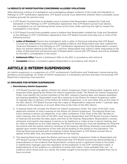# <span id="page-7-0"></span>1.4 RESULTS OF INVESTIGATION CONCERNING ALLEGED VIOLATIONS

After delivering a Notice of Investigation and investigating alleged violations of the *Code and Standards* or *Pathway to CFP® Certification Agreement*, CFP Board Counsel must determine whether there is probable cause to believe grounds for sanction exist.

- a. If CFP Board Counsel finds no probable cause to believe that Respondent violated the *Code and Standards* or the *Pathway to CFP® Certification Agreement*, then CFP Board Counsel must dismiss the investigation as not warranting further action at this time, while reserving the right to reopen the investigation in the future.
- b. If CFP Board Counsel finds probable cause to believe that Respondent violated the *Code and Standards* or the *Pathway to CFP® Certification Agreement*, then CFP Board Counsel must take one or more of the following actions:
	- 1. Letter of Dismissal: Dismiss the investigation with a Letter of Dismissal indicating that CFP Board Counsel has determined, based upon the available evidence, that Respondent may have violated the *Code and Standards* or the *Pathway to CFP® Certification Agreement*, but that Respondent's conduct does not warrant referral to the DEC for a sanction. Respondent may submit a letter responding to the Letter of Dismissal that will become part of Respondent's record with CFP Board, and will be available for the DEC's consideration in the future.
	- 2. **Settlement Offer:** Present a Settlement Offer to the DEC in accordance with Article 8.
	- 3. **Complaint:** Deliver a Complaint against Respondent in accordance with Article 3.

# ARTICLE 2: INTERIM SUSPENSIONS

An interim suspension is a suspension of a CFP® professional's Certification and Trademark License during the pendency of proceedings. An Order of Interim Suspension is a temporary sanction and does not preclude CFP Board from imposing a final sanction.

# 2.1 GROUNDS FOR INTERIM SUSPENSIONS

#### a. Discretionary Interim Suspension

- 1. CFP Board Counsel may deliver a Motion for Interim Suspension Order to Respondent, together with a proposed Order granting the Motion for Interim Suspension Order. The Motion for Interim Suspension Order must identify the current members of the DEC, request a hearing date, and request expedited pre-hearing deadlines. Respondent must file a response to the Motion for Interim Suspension within 14 calendar days of delivery of the Motion for Interim Suspension, or at such other time as the Chair of the DEC directs. CFP Board Counsel may file a reply to Respondent's response within 7 calendar days of delivery of the response, or at such other time as the Chair of the DEC directs.
- 2. A Hearing Panel will consider the Motion for Interim Suspension Order. The Chair of the DEC must determine whether to hold a hearing on the Motion for Interim Suspension. The Hearing Panel may hold a hearing in person, by telephone, or by video conference. If the Chair of the DEC decides to hold a hearing, then the Chair of the DEC must issue to Respondent and CFP Board Counsel a Notice of Hearing that provides the date, place, and time of the hearing. Respondent, Respondent's counsel, witnesses, and experts may appear in person or by telephone or video at any in person hearing, and by video or telephone at any video hearing. The Notice of Hearing also must set deadlines for filing the documents that the parties intend to introduce at the hearing, identifying witnesses, and submitting agreed-upon written stipulations of fact that will be binding on the parties to the stipulation. The Hearing Panel may proceed with the hearing if either Respondent or CFP Board Counsel fails to appear at the date, time, and place established for the hearing.
- 3. The Hearing Panel must grant the Motion and issue an Interim Suspension Order to Respondent and CFP Board Counsel if the Hearing Panel determines that CFP Board Counsel has demonstrated by a preponderance of the evidence that Respondent's conduct poses a significant threat to the public or significantly impinges upon the reputation of the profession or the CFP® certification marks. A preponderance of the evidence is a standard of review that means "more probable than not," i.e., evidence which shows that, as a whole, the matter sought to be proved is more probable than not to have occurred.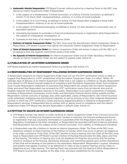- <span id="page-8-0"></span>b. **Automatic Interim Suspension:** CFP Board Counsel, without action by a Hearing Panel or the DEC, may deliver an Interim Suspension Order if Respondent:
	- 1. Is the subject of a misdemeanor Criminal Conviction, or a felony Criminal Conviction, as defined in Article 7.1, for fraud, theft, misrepresentation, violence, or a crime of moral turpitude;
	- 2. Is the subject of a Civil Finding, as defined in Article 7.3, that Respondent engaged in fraud, theft, misrepresentation, violence, or an act of moral turpitude;
	- 3. Is the subject of Professional Discipline, as defined in Article 7.2, that resulted in a revocation, bar, or equivalent sanction;
	- 4. Voluntarily terminates or surrenders a financial professional license or registration while Respondent is the subject of a Regulatory Investigation; or
	- 5. Consents to the entry of an Interim Suspension Order.
- c. Delivery of Interim Suspension Order: The DEC must issue the discretionary Interim Suspension Order to Respondent. CFP Board Counsel must deliver the automatic Interim Suspension Order to Respondent.
- d. Term of Interim Suspension Order: An Interim Suspension Order will remain in place until the DEC or, if an appeal is filed, the Appeals Commission issues a final order.
- e. No Appeals of Interim Suspensions: An Interim Suspension Order and an Order deciding a Petition to Vacate an Interim Suspension Order are not subject to appeal under Article 15.

# 2.2 PUBLICATION OF AN INTERIM SUSPENSION ORDER

CFP Board publishes an Interim Suspension Order in accordance with Article 17.7.

#### 2.3 RESPONSIBILITIES OF RESPONDENT FOLLOWING INTERIM SUSPENSION ORDERS

A Respondent subject to an Interim Suspension Order must not use the CFP® certification marks or state or suggest that Respondent is a CFP® professional while the Interim Suspension Order is in effect. Within 45 calendar days of delivery of an Interim Suspension Order that is not subject to a Petition to Vacate, Respondent must deliver to CFP Board Counsel evidence of compliance with the Interim Suspension Order. Such evidence must include Respondent's statement of assurance that Respondent will comply with the Interim Suspension Order and proof that Respondent has removed the CFP® certification marks from all internet sites and all tangible materials that Respondent exposes to the public. Respondent must submit screenshots of websites, including of Respondent's businesses, social media, and third party financial advisor listing website profiles Respondent controls, pictures of signage, and, when applicable, copies of Respondent's new interim business cards, letterhead, marketing and promotional materials, as well as pictures of any other materials Respondent controls in which the CFP® certification marks previously appeared publicly in reference to Respondent or Respondent's services. If Respondent fails to comply with or deliver proof of compliance with the Interim Suspension Order, CFP Board may declare Respondent in default under Article 4.1.

# 2.4 PETITION TO VACATE AN INTERIM SUSPENSION ORDER

- a. CFP Board Counsel may deliver an order vacating an Interim Suspension Order if the Criminal Conviction, Civil Liability, or Professional Discipline has been vacated or reversed, the financial professional license or registration that was voluntarily terminated or suspended while the Respondent was the subject of a Regulatory Investigation has been reinstated, or Respondent has provided sufficient evidence indicating that Respondent was not the subject of the Criminal Conviction, Civil Liability, or Professional Discipline.
- b. A Respondent may file a Petition to Vacate an Interim Suspension Order. The Chair of the DEC must determine whether to hold a hearing on the Petition to Vacate, which may occur in person, by telephone, or by video conference. If the Chair of the DEC decides to hold a hearing, then the Chair of the DEC must issue to Respondent and CFP Board Counsel a Notice of Hearing that provides the date, place, and time of the hearing. The Notice of Hearing also must set deadlines for filing the documents that the parties intend to introduce at the hearing, identifying witnesses, and submitting agreed-upon written stipulations of fact that will be binding on the parties to the stipulation. Respondent, Respondent's counsel, witnesses, and experts may appear in person or by telephone or video at any in person hearing, and by video or telephone at any video hearing. The Hearing Panel may proceed with the hearing if either Respondent or CFP Board Counsel fails to appear at the date, time, and place established for the hearing.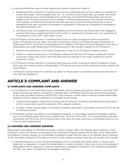- <span id="page-9-0"></span>c. A Hearing Panel may issue an order vacating an Interim Suspension Order if:
	- 1. Respondent files a Petition to Vacate and proves by a preponderance of the evidence (a standard of review that means "more probable than not," i.e., evidence which shows that, as a whole, the matter sought to be proved is more probable than not to have occurred) that Respondent was not the subject of the Criminal Conviction, Civil Liability, or Professional Discipline, the Criminal Conviction, Civil Liability, or Professional Discipline has been reversed, or the financial professional license or registration that was voluntarily terminated or suspended in response to a Regulatory Investigation has been reinstated; and
	- 2. CFP Board does not establish by a preponderance of the evidence that Respondent has engaged in conduct that poses a significant threat to the public or significantly impinges upon the reputation of the profession or the CFP® certification marks.
- d. If CFP Board Counsel delivers or a Hearing Panel issues an order vacating an Interim Suspension Order, CFP Board must not reflect the Interim Suspension Order in CFP Board's public verification of Respondent's CFP® certification and background. In addition, CFP Board Counsel will deliver the order to Respondent and notify Respondent of the opportunity to file a written request for CFP Board to:
	- 1. Remove the publication of the Interim Suspension Order from CFP Board's website, and/or
	- 2. Publish in a press release and on CFP Board's website the fact that CFP Board vacated the Interim Suspension Order and some or all of the facts that are relevant to the order vacating the Interim Suspension Order.
- e. If CFP Board Counsel delivers or a Hearing Panel issues an order vacating an Interim Suspension Order, then upon the written request of Respondent, CFP Board must remove the publication and/or publish the press release.
- f. CFP Board Counsel retains the authority to deliver to Respondent a Complaint based upon the same or other factual allegations.

# ARTICLE 3: COMPLAINT AND ANSWER

#### 3.1 COMPLAINTS AND AMENDED COMPLAINTS

- a. If CFP Board Counsel determines there is probable cause to believe grounds for sanction exist, then CFP Board Counsel may deliver a Complaint to Respondent. CFP Board Counsel may amend the Complaint at any time; provided, however, that the DEC may continue or keep open a hearing to allow Respondent additional time to prepare a defense. A Complaint must include:
	- 1. Numbered paragraphs setting forth the grounds for sanction, including a detailed factual description of the conduct and a specific statement of the alleged violations.
	- 2. A range of likely hearing dates. (The Notice of Hearing, provided in accordance with Article 10.1, will set a final hearing date.)
- b. CFP Board Counsel may deliver a consolidated Complaint, or consolidate separate Complaints, against two or more Respondents that involve related facts. The Chair of the DEC, or if a Hearing Panel has been assembled, then the Chair of the Hearing Panel, may issue an Order severing a consolidated action at any time, for good cause shown.

# 3.2 ANSWERS AND AMENDED ANSWERS

Respondent must deliver to CFP Board Counsel a written Answer within 30 calendar days of delivery of the Complaint, unless CFP Board Counsel delivers an Amended Complaint before the Answer is due. Respondent must deliver a written Answer to an Amended Complaint no later than the later of 14 calendar days of delivery of the Amended Complaint or the date an Answer to the original Complaint was due. An Answer must include:

a. A detailed response to each numbered paragraph of the Complaint that either admits or denies each statement or allegation, or states that Respondent is unable to admit or deny due to lack of knowledge. If Respondent fails to respond to a specific statement or allegation contained in any numbered paragraph, the DEC may deem the statement or allegation admitted.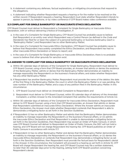- <span id="page-10-0"></span>b. A statement containing any defenses, factual explanations, or mitigating circumstances that respond to the allegations.
- c. A statement indicating whether Respondent requests a hearing or for the matter to be resolved on the written record. If Respondent requests a hearing, Respondent must state whether Respondent intends to appear in person, by telephone, or by video conference if CFP Board makes video conference available.

# 3.3 COMPLAINT FOR SINGLE BANKRUPTCY OR INACCURATE ETHICS DECLARATION

CFP Board Counsel must deliver to Respondent a Complaint for Single Bankruptcy or Inaccurate Ethics Declaration, with or without delivering a Notice of Investigation, if:

- a. In the case of a Complaint for Single Bankruptcy, CFP Board Counsel has probable cause to believe that Respondent or an entity over which Respondent was a Control Person (as defined in the *Code and Standards*) has filed for or been the subject of a personal bankruptcy or business bankruptcy (each a "Bankruptcy Matter") and Respondent has no other Bankruptcy Matter;
- b. In the case of a Complaint for Inaccurate Ethics Declaration, CFP Board Counsel has probable cause to believe that Respondent inaccurately completed the Ethics Declaration, and Respondent has had no other inaccurate Ethics Declaration or failure to report; and
- c. In the case of a Complaint for Single Bankruptcy or Inaccurate Ethics Declaration, there is no probable cause to believe that other grounds for sanction exist.

#### 3.4 ANSWER TO COMPLAINT FOR SINGLE BANKRUPTCY OR INACCURATE ETHICS DECLARATION

- a. Within 30 calendar days of delivery of the Complaint for Single Bankruptcy, Respondent must deliver to CFP Board Counsel, using a form that CFP Board provides, an Answer that admits or denies the existence of the Bankruptcy Matter, admits or denies that the Bankruptcy Matter demonstrates an inability to manage responsibly the Respondent's or the business's financial affairs, and states whether Respondent has any other Bankruptcy Matter.
- b. If Respondent has another Bankruptcy Matter, Respondent must provide the name of the debtor, the date of the first filing in the Bankruptcy Matter, the court in which the Bankruptcy Matter is or was pending, the case number of the Bankruptcy Matter, and a copy of any petition filed in the Bankruptcy Matter. In this circumstance:
	- 1. CFP Board Counsel must deliver an Amended Complaint to Respondent; and
	- 2. Respondent must deliver to CFP Board Counsel, within 30 calendar days of delivery of the Amended Complaint, a written Answer to the Amended Complaint that satisfies the requirements of Article 3.2.
- c. Within 30 calendar days of delivery of the Complaint for Inaccurate Ethics Declaration, Respondent must deliver to CFP Board Counsel, using a form that CFP Board provides, an Answer that admits or denies that Respondent submitted an inaccurate Ethics Declaration. Where the Answer admits an inaccurate Ethics Declaration, the Answer must state whether Respondent contends that Respondent is able to demonstrate a mitigating factor as set forth in the *Sanction Guidelines*.
- d. If Respondent (i) has no other Bankruptcy Matter and admits that the Bankruptcy Matter demonstrates an inability to manage responsibly the Respondent's or the business's financial affairs, or (ii) admits the inaccurate Ethics Declaration and that Respondent is unable to demonstrate a mitigating factor as set forth in the *Sanction Guidelines*, then Respondent may accept an Order of Public Censure, in which case CFP Board Counsel will deliver to Respondent an Order of Public Censure, the DEC will not hold a hearing, and CFP Board will not charge Respondent the hearing fee. CFP Board publishes an Order of Public Censure in accordance with Article 17.7.
- e. If Respondent (i) has no other Bankruptcy Matter and denies that the Bankruptcy Matter demonstrates an inability to manage responsibly the Respondent's or the business's financial affairs, or (ii) denies the inaccurate Ethics Declaration or contends that Respondent may demonstrate a mitigating factor as set forth in the *Sanction Guidelines*, then Respondent must provide the factual basis for Respondent's denial in the Answer. In this circumstance, the Complaint will proceed to a hearing as set forth in Article 10, CFP Board will charge Respondent the hearing fee, and CFP Board Counsel may file a written statement, no later than 30 calendar days prior to the Hearing, setting forth CFP Board's position concerning Respondent's denial.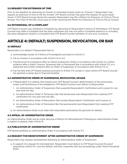# <span id="page-11-0"></span>3.5 REQUEST FOR EXTENSION OF TIME

Prior to the deadline for delivering an Answer or Amended Answer (each an "Answer"), Respondent may request an extension of time to file the Answer. CFP Board Counsel may grant the request, for good cause shown. If CFP Board Counsel denies the request, Respondent may file a Motion for Extension of Time to File an Answer. The Chair of the DEC must issue an order resolving the Motion for Extension of Time to File an Answer.

## 3.6 WITHDRAWAL OF A COMPLAINT

CFP Board Counsel may withdraw a Complaint by delivering to Respondent a Notice of Withdrawal. CFP Board Counsel may refile a Complaint that has been withdrawn but may not refile a Complaint based on or including the same allegations raised in a Complaint that CFP Board Counsel withdrew on two prior occasions.

# ARTICLE 4: DEFAULT; SUSPENSION, REVOCATION, OR BAR

# 4.1 DEFAULT

Respondent is in default if Respondent fails to:

- a. Acknowledge receipt of a Notice of Investigation pursuant to Article 1.1;
- b. File an Answer in accordance with Article 3.2 or 3.4;
- c. Provide proof of compliance after an Interim Suspension Order in accordance with Article 2.3, written evidence after a Public Censure, Temporary Bar, or Permanent Bar in accordance with Article 11.2, or a statement and written evidence after an Order of Suspension in accordance with Article 11.3; or
- d. Pay the fees that CFP Board assesses pursuant to Article 17.4, except in cases where CFP Board Counsel has granted a waiver due to financial hardship.

#### 4.2 ADMINISTRATIVE ORDER OF SUSPENSION, REVOCATION, OR BAR

- a. If Respondent is in default, then based upon CFP Board Counsel's determination of the seriousness, scope, and harmfulness of the allegations, CFP Board Counsel must deliver to Respondent:
	- 1. An Administrative Order of Suspension that suspends Respondent's Certification and License for one year and one day;
	- 2. An Administrative Order of Temporary Bar that temporarily bars Respondent from seeking CFP® certification for one year and one day;
	- 3. An Administrative Order of Revocation that revokes Respondent's Certification and License; or
	- 4. An Administrative Order of Permanent Bar that permanently bars Respondent from seeking CFP® certification.
- b. An Administrative Order must state with reasonable particularity the grounds for default.

#### 4.3 APPEAL OF ADMINISTRATIVE ORDER

An Administrative Order and an order denying a Petition for Reinstatement Following an Administrative Order is subject to appeal under Article 15.

# 4.4 PUBLICATION OF ADMINISTRATIVE ORDER

CFP Board publishes an Administrative Order in accordance with Article 17.7.

#### 4.5 REQUEST FOR REINSTATEMENT AFTER ADMINISTRATIVE ORDER OF SUSPENSION

Respondent may request reinstatement following an Administrative Order of Suspension.

a. In support of a request for reinstatement, Respondent must deliver to CFP Board Counsel the proof required by Article 14.1, cure the default, and fully cooperate with any proceedings under these Procedural Rules.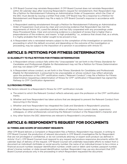- <span id="page-12-0"></span>b. CFP Board Counsel may reinstate Respondent. If CFP Board Counsel does not reinstate Respondent within 30 calendar days after receiving Respondent's request for reinstatement, then Respondent may file a Petition for Reinstatement Following an Administrative Order of Suspension, which the Chair of the DEC must decide by issuing a written final order. CFP Board may file a response to a Petition for Reinstatement and Respondent may file a reply to CFP Board Counsel's response in accordance with Article 9.
- c. A Respondent seeking reinstatement through a Petition for Reinstatement Following an Administrative Order of Suspension must prove by clear and convincing evidence that Respondent has met the requirements of Article 14.1, cured the default, and has fully cooperated with any proceedings under these Procedural Rules. Clear and convincing evidence is a standard of review that is higher than a preponderance of the evidence, and means "a high probability," i.e., evidence that shows that, as a whole, it is highly probable that the matter sought to be proved is true.
- d. A Respondent who is reinstated remains subject to the completion of the investigation or sanctions proceeding in which the default occurred, and depending on the outcome of the investigation or proceeding, may be subject to the imposition of a sanction in accordance with Article 11.1.

# ARTICLE 5: PETITIONS FOR FITNESS DETERMINATION

# 5.1 ELIGIBILITY TO FILE PETITION FOR FITNESS DETERMINATION

- a. A Respondent whose conduct falls within the "Unacceptable" list set forth in the *Fitness Standards for Candidates and Professionals Eligible for Reinstatement* may not file a Petition for Fitness Determination and may not obtain CFP® certification.
- b. A Respondent whose conduct, as set forth in the *Fitness Standards for Candidates and Professionals Eligible for Reinstatement*, is presumed to be unacceptable or whose conduct may reflect adversely upon the profession or the CFP® certification marks ("Relevant Conduct") may file a Petition for Fitness Determination requesting a determination of fitness for CFP® certification if Respondent has signed the *Pathway to CFP® Certification Agreement*.

# 5.2 PROVING FITNESS

The factors relevant to a Respondent's fitness for CFP® certification include:

- a. The extent to which the Relevant Conduct reflects adversely upon the profession or the CFP® certification marks;
- b. Whether and how Respondent has taken actions that are designed to prevent the Relevant Conduct from reoccurring in the future;
- c. Whether and how Respondent has integrated the *Code and Standards* in Respondent's practice;
- d. Whether Respondent has submitted positive letters of reference from current clients, supervisors, colleagues, or other professionals concerning the Relevant Conduct or the Respondent's character; and
- e. Any other factors the DEC determines are relevant to Respondent's circumstances.

# ARTICLE 6: RESPONDENT'S REQUEST FOR DOCUMENTS

# 6.1 TIMING AND SCOPE OF DOCUMENT REQUESTS

After CFP Board delivers a Complaint or Respondent files a Petition, Respondent may request, in writing to CFP Board Counsel, the production of relevant documents in CFP Board's investigative file for Respondent that are not privileged or confidential, or do not constitute attorney or expert work product (as defined in Article 1.3.a.1.). CFP Board Counsel must respond to any request and produce responsive documents within 30 calendar days of delivery of the request. CFP Board Counsel will undertake reasonable efforts to redact from a document an individual's birthdate or social security number, the name of an individual known to be a minor, a financial account number, taxpayer identification number, credit card or debit card number, passport number, driver's license number, or state-issued identification number. Respondent may use any document that CFP Board Counsel produces only in the proceeding in which Respondent requested the document.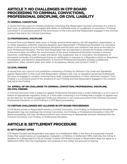# <span id="page-13-0"></span>ARTICLE 7: NO CHALLENGES IN CFP BOARD PROCEEDING TO CRIMINAL CONVICTIONS, PROFESSIONAL DISCIPLINE, OR CIVIL LIABILITY

# 7.1 CRIMINAL CONVICTION

A record from any court of criminal jurisdiction indicating that Respondent has been convicted of a crime in that court, or admitted into a program that defers or withholds entry of a judgment of conviction ("Criminal Conviction"), is conclusive proof of the commission of the crime and that Respondent engaged in the criminal conduct that led to the Criminal Conviction.

# 7.2 PROFESSIONAL DISCIPLINE

A record from a (a) federal, state, local, or foreign governmental agency, (b) self-regulatory organization, or (c) other regulatory authority imposing discipline upon Respondent ("Professional Discipline") is conclusive proof of the existence of such Professional Discipline and the facts and violations that serve as the basis for such Professional Discipline. The fact that Respondent has not admitted or denied the findings contained in the record does not affect the conclusiveness of the proof. Professional Discipline includes a censure, injunction, undertaking, order to cease and desist, fine, suspension, bar, or revocation, the temporary or permanent surrender of a professional license or certification in response to a Regulatory action or Regulatory investigation, and statutory disqualification. A record of Professional Discipline includes a settlement agreement, order, consent order, and Letter of Acceptance, Waiver, and Consent ("AWC").

# 7.3 CIVIL FINDING

A record from any court of civil jurisdiction containing a Finding (as defined in the *Code and Standards*) against Respondent in that court that Respondent violated a law, rule, or regulation governing Professional Services, or engaged in conduct involving fraud, theft, misrepresentation, or other dishonest conduct ("Civil Finding"), is conclusive proof of the existence of such Finding and that Respondent engaged in the conduct that led to the Finding.

# 7.4 APPEAL OF OR CHALLENGE TO CRIMINAL CONVICTION, PROFESSIONAL DISCIPLINE, OR CIVIL FINDING

A Criminal Conviction that is subject to appeal, Professional Discipline that is under challenge in a civil court or before an appropriate regulatory body, or a final order containing a Civil Finding that is subject to appeal may be the basis for an Interim Suspension Order but otherwise is not conclusive proof of the Criminal Conviction, Professional Discipline, or Civil Finding in a CFP Board proceeding.

# 7.5 CERTAIN CHALLENGES NOT ALLOWED IN CFP BOARD PROCEEDINGS

If CFP Board proves or Respondent admits a Criminal Conviction, Civil Finding, or Professional Discipline, then Respondent may not challenge the Criminal Conviction, Civil Finding, or Professional Discipline in the CFP Board proceeding, and may introduce evidence only concerning an appropriate sanction resulting from the Criminal Conviction, Civil Finding, or Professional Discipline.

# ARTICLE 8: SETTLEMENT PROCEDURE

# 8.1 SETTLEMENT OFFER

CFP Board Counsel and Respondent may agree on a Settlement Offer, in the form of a proposed Consent Order, that would resolve an investigation, Complaint, or Petition. A Settlement Offer shall stay the Article 3 deadline for a Respondent to file an Answer. If either CFP Board Counsel or Respondent does not agree to a Settlement Offer, then the investigation will continue or the matter will proceed to hearing.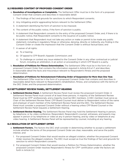## <span id="page-14-0"></span>8.2 REQUIRED CONTENT OF PROPOSED CONSENT ORDER

- a. Resolution of Investigations or Complaints. The Settlement Offer must be in the form of a proposed Consent Order that contains and describes in reasonable detail:
	- 1. The findings of fact and grounds for sanctions to which Respondent consents;
	- 2. Any mitigating and/or aggravating factors relevant to the Settlement Offer;
	- 3. A statement identifying the form of sanction to be imposed;
	- 4. The content of the public notice, if the form of sanction is public;
	- 5. A statement that Respondent consents to the entry of the proposed Consent Order, and, if there is to be public notice, that Respondent consents to the issuance of a public notice;
	- 6. A statement that Respondent must not take any action or make or permit to be made any public statement, including in regulatory filings or otherwise, denying, directly or indirectly, any finding in the Consent Order or create the impression that the Consent Order is without factual basis; and
	- 7. A waiver of all rights:
		- a) To a hearing;
		- b) Of appeal to CFP Board's Appeals Commission; and
		- c) To challenge or contest any issue related to the Consent Order in any other contractual or judicial forum, including an arbitration, in an action or proceeding in which CFP Board is a party.
- b. Resolution of Petitions for Fitness Determination. The Settlement Offer must be in the form of a proposed Consent Order that contains the information required in Article 8.2.a.1-7. and describes in reasonable detail the facts and misconduct relevant to Respondent's fitness and the proposed determination.
- c. Resolution of Petitions for Reinstatement Following Order of Suspension for More than One Year. The Settlement Offer must be in the form of a proposed Consent Order that contains and describes in reasonable detail facts relevant to Respondent's rehabilitation, fitness, and compliance with the terms of the DEC Order, and the proposed determination.

# 8.3 SETTLEMENT REVIEW PANEL; SETTLEMENT HEARING

- a. **Settlement Review Panel.** A Settlement Review Panel must review the proposed Consent Order. A Settlement Review Panel must consist of at least three persons. A majority of the Settlement Review Panel must be CFP® professionals, and a majority must be DEC members. A DEC member must serve as Chair of the Settlement Review Panel. CFP Board Counsel must deliver to Respondent notice of the name and employer of each member of the Settlement Review Panel and the DEC. The Settlement Review Panel must consider a proposed Consent Order without a hearing unless CFP Board Counsel or the Settlement Review Panel requests a Settlement Hearing.
- b. Settlement Review Hearing. The Settlement Review Panel may hold the Settlement Hearing in person, by telephone, or by video conference. Respondent, Respondent's counsel, witnesses, and experts may appear in person or by telephone or video at any in person hearing, and by video or telephone at any video hearing. A Settlement Review Panel will be represented by counsel, including at any hearing.

# 8.4 RESOLUTION OF SETTLEMENT OFFER

- a. **Settlement Factors.** The factors the DEC shall consider in determining whether to accept a settlement include whether the terms of the proposed Consent Order are clear, reasonable, and serve the public interest, and:
	- 1. For proposed Consent Orders that would resolve an alleged violation, whether the proposed Consent Order resolves the alleged violations. The DEC must accept as true the findings of fact and grounds for sanction to which Respondent consents.
	- 2. For proposed Consent Orders that would resolve a Petition for Fitness Determination, whether the proposed Consent Order resolves Respondent's fitness for CFP® certification under the factors set forth in Article 5.2.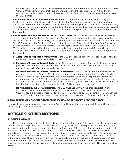- <span id="page-15-0"></span>3. For proposed Consent Orders that would resolve a Petition for Reinstatement, whether the proposed Consent Order demonstrates that Respondent has satisfied the requirements of Article 14.1 and resolves Respondent's rehabilitation, fitness for CFP® certification, and compliance with the terms of the DEC's order.
- b. Recommendation of the Settlement Review Panel. The Settlement Review Panel must apply the Settlement Factors set forth in Article 8.4.a., identify the *Sanction Guidelines*, *Fitness Standards for Candidates and Professionals Eligible for Reinstatement*, and *Anonymous Case Histories* that the Hearing Panel found relevant, and recommend to the DEC whether to accept the proposed Consent Order, reject the proposed Consent Order with no Counteroffer, or reject the proposed Consent Order and propose a Counteroffer.
- c. Review by the DEC and Issuance of the DEC's Final Order. The DEC must review *de novo* and accept, reject, or modify the Settlement Review Panel's findings and recommendations. *De novo* means that the DEC must consider the matter anew, as if the Settlement Review Panel had rendered no recommendation. The DEC must apply the Settlement Factors set forth in Article 8.4.a., identify the *Sanction Guidelines*, *Fitness Standards for Candidates and Professionals Eligible for Reinstatement*, and *Anonymous Case Histories* that the Hearing Panel found relevant, and either accept the proposed Consent Order, reject the proposed Consent Order with no Counteroffer, or reject the proposed Consent Order and propose a Counteroffer.
	- 1. **Acceptance of Proposed Consent Order.** If the DEC accepts and issues the proposed Consent Order, then the Consent Order is the final decision of CFP Board.
	- 2. Rejection of Proposed Consent Order. If the DEC rejects the proposed Consent Order and does not propose a Counteroffer, then CFP Board Counsel will continue the investigation, take other action pursuant to Article 1.4.b., or proceed to hearing.
	- 3. Rejection of Proposed Consent Order and Counteroffer. If the DEC rejects the proposed Consent Order and proposes a Counteroffer, Respondent must accept the Counteroffer within 14 calendar days of issuance of the Counteroffer or the Counteroffer will be void. If Respondent accepts the Counteroffer, then the DEC will issue the Counteroffer as a Consent Order that is the final decision of CFP Board. If Respondent does not accept the Counteroffer, then CFP Board Counsel will continue the investigation, take other action pursuant to Article 1.4.b., or proceed to hearing.
	- 4. No Admissibility in Later Adjudication. The DEC must not admit, in the later adjudication of a Complaint or Petition, any evidence regarding the existence of a proposed Consent Order or Counteroffer, a proposed Consent Order, or any statement made by Respondent, CFP Board Counsel, or the DEC during or in the context of the negotiation or presentation of a Proposed Consent Order.

# 8.5 NO APPEAL OF CONSENT ORDER OR REJECTION OF PROPOSED CONSENT ORDER

A Consent Order is not subject to appeal under Article 15. The rejection of a Proposed Consent Order is not subject to appeal under Article 15.

# ARTICLE 9: OTHER MOTIONS

# 9.1 OTHER MOTIONS

In addition to motions specifically identified elsewhere in these Procedural Rules, which must be resolved as set forth therein, Respondent and CFP Board Counsel may file written, non-dispositive motions prior to the hearing, including with respect to any issue that these Procedural Rules do not otherwise address, which unless otherwise specified in these Procedural Rules, the Chair of the DEC will decide. The movant must state the grounds for the motion, the relief requested, and whether the movant requests oral argument. The opposing party may file a response within 14 calendar days of service of the motion, or at such other time that the Chair of the DEC directs. The movant may file a reply within 5 calendar days of service of the response, or at such other time that the Chair of the DEC directs. The Chair of the DEC has discretion whether to schedule oral argument on the motion. Parties also may make oral motions during a hearing, which the Hearing Panel Chair will decide.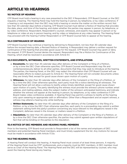# <span id="page-16-0"></span>ARTICLE 10: HEARINGS

# 10.1 NOTICE OF HEARING

CFP Board must hold a hearing in any case presented to the DEC if Respondent, CFP Board Counsel, or the DEC requests a hearing. The Hearing Panel may hold the hearing in person, by telephone, or by video conference. If a hearing is not requested, then the DEC may hold a hearing or resolve the matter on the written record. Not less than 30 calendar days before a hearing, CFP Board Counsel must deliver a Notice of Hearing that provides the date, place, and time of the hearing, and states whether the parties may appear in person, by telephone, or by video conference. Respondent, Respondent's counsel, witnesses, and experts may appear in person or by telephone or video at any in person hearing, and by video or telephone at any video hearing. The Hearing Panel may proceed with the hearing if either Respondent or CFP Board Counsel fails to appear at the hearing.

# 10.2 CONTINUANCE OF HEARING

CFP Board Counsel may continue a hearing by delivering to Respondent, not less than 30 calendar days before the revised hearing date, a Revised Notice of Hearing. A Respondent may deliver a written request for continuance of the hearing that provides good cause for the request. CFP Board Counsel may grant or deny the request. If CFP Board Counsel denies the request, Respondent may file a Motion for Continuance of the Hearing, which shall be resolved in accordance with Article 9.1.

# 10.3 DOCUMENTS, WITNESSES, WRITTEN STATEMENTS, AND STIPULATIONS

- a. **Documents.** No later than 45 calendar days after delivery of the Complaint or filing of a Petition, or by a time the DEC Chair otherwise specifies, CFP Board Counsel and Respondent may file and contemporaneously deliver to all other parties, documents that they may seek to introduce at the hearing. The parties, the Hearing Panel, or the DEC may redact the information that CFP Board Counsel will use reasonable efforts to redact pursuant to Article 6.1. The Hearing Panel will not consider documents unless they are timely filed, except for good cause shown upon motion of a party.
- b. Witnesses. No later than 30 calendar days after delivery of the Complaint or the filing of a Petition, or by a time the DEC Chair otherwise specifies, each party must file a notice identifying all witnesses. The Hearing Panel will not allow a witness to testify unless timely identified, except for good cause shown upon motion of a party. The party identifying the witness must provide the witness's phone number, email address, and mailing address, state the subject matter of the witness's anticipated testimony, and indicate whether the witness will appear at the hearing in person, by telephone, or by video conference if CFP Board makes video conference available. A Hearing Panel may permit a witness to testify at the hearing only upon swearing an appropriate oath or affirmation. Other than a Respondent and an expert witness, a witness may attend a hearing only while testifying.
- c. Written Statements. No later than 45 calendar days after delivery of the Complaint or the filing of a Petition, or by a time the DEC Chair otherwise specifies, each party to a proceeding may submit a written statement setting forth the party's position concerning any issue relevant to the allegations raised in the Complaint, defenses raised in the Answer, or matters raised in a Petition.
- d. **Stipulations.** No later than 45 calendar days after delivery of the Complaint or the filing of a Petition, or by a time the DEC Chair otherwise specifies, the parties may submit agreed-upon written stipulations of fact that will be binding on the parties to the stipulation.

# 10.4 NOTICE OF DEC MEMBERS AND HEARING PANEL MEMBERS

Prior to the hearing, CFP Board must provide to Respondent a list of the names and employers of DEC members and potential Hearing Panel members, and must timely supplement the list. Any motions for recusal must be made in accordance with Article 17.3.b.

# 10.5 THE HEARING PANEL

A Hearing Panel will conduct the hearing. A Hearing Panel must consist of at least three persons. A majority of the Hearing Panel must be CFP® professionals, and a majority must be DEC members. A DEC member must serve as Chair of the Hearing Panel. The Hearing Panel and the DEC will be represented by counsel, who may assist the Hearing Panel during any hearing.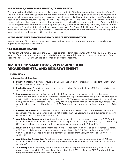# <span id="page-17-0"></span>10.6 EVIDENCE; OATH OR AFFIRMATION; TRANSCRIPTION

The Hearing Panel will determine, in its discretion, the conduct of the hearing, including the order of proof and allocation of time for argument and the presentation of evidence. The parties must have an opportunity to present documents and testimony, cross-examine witnesses called by another party to testify orally at the hearing, and present argument to the Hearing Panel. Relevant hearsay is admissible. The Hearing Panel may exclude evidence that is not relevant or that has not been provided in accordance with these Procedural Rules. The Hearing Panel may determine what weight to give any evidence. The Hearing Panel may consider, but is not bound by, federal or state evidentiary or procedural rules. The Chair of the Hearing Panel must administer oaths or affirmations to testifying witnesses. CFP Board must obtain a written transcript of the hearing and make it available to the Appeals Commission upon appeal.

# 10.7 RESPONDENT'S AND CFP BOARD COUNSEL'S RECOMMENDATION

Respondent and CFP Board Counsel may present evidence and argument and make recommendations regarding an appropriate sanction.

# 10.8 CLOSING OF HEARING

The hearing will remain open until the DEC issues its final order in accordance with Article 12.3. Until the DEC issues its final order, the Hearing Panel or the DEC may request additional documents or information from Respondent or CFP Board Counsel and schedule additional hearings.

# ARTICLE 11: SANCTIONS, POST-SANCTION REQUIREMENTS, AND REINSTATEMENT

# 11.1 SANCTIONS

#### a. Categories of Sanction

- 1. **Private Censure.** A private censure is an unpublished written reproach of Respondent that the DEC issues to a censured Respondent.
- 2. **Public Censure.** A public censure is a written reproach of Respondent that CFP Board publishes in accordance with Article 17.7.
- 3. **Suspension.** A suspension is a period in which Respondent remains subject to the Terms and Conditions of Certification and Trademark License but is prohibited from using the CFP® certification marks, stating or suggesting that Respondent is a CFP® professional, or holding out to the public as being certified by CFP Board. The DEC may issue a suspension for a specified period, not less than 90 calendar days or greater than five years. CFP Board publishes a suspension in accordance with Article 17.7.
- 4. Interim Suspension. An interim suspension is a suspension issued prior to a final order. An interim suspension may be in place for a period not greater than five years. CFP Board publishes an interim suspension in accordance with Article 17.7.
- 5. **Administrative Suspension.** An administrative suspension is a suspension imposed by CFP Board Counsel pursuant to Article 4. An administrative suspension will be in place for one year and one day. CFP Board publishes an administrative suspension in accordance with Article 17.7.
- 6. **Revocation.** A revocation is the termination of a Respondent's Certification and Trademark License. CFP Board publishes a revocation in accordance with Article 17.7. A Respondent whose CFP® Certification and License is revoked is permanently barred from applying for or obtaining CFP® certification.
- 7. **Administrative Revocation.** An administrative revocation is a revocation imposed by CFP Board Counsel pursuant to Article 4. CFP Board publishes an administrative revocation in accordance with Article 17.7.
- 8. **Temporary Bar.** A temporary bar is a period in which a Respondent who currently is not a CFP<sup>®</sup> professional is prohibited from applying for or obtaining CFP® certification. CFP Board publishes a temporary bar in accordance with Article 17.7.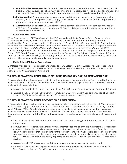- <span id="page-18-0"></span>9. **Administrative Temporary Bar.** An administrative temporary bar is a temporary bar imposed by CFP Board Counsel pursuant to Article 4. An administrative temporary bar will be in place for one year and one day. CFP Board publishes an administrative temporary bar in accordance with Article 17.7.
- 10. Permanent Bar. A permanent bar is a permanent prohibition on the ability of a Respondent who currently is not a CFP® professional to apply for or obtain CFP® certification. CFP Board publishes a permanent bar in accordance with Article 17.7.
- 11. **Administrative Permanent Bar.** An administrative permanent bar is a permanent bar imposed by CFP Board Counsel pursuant to Article 4. CFP Board publishes an administrative permanent bar in accordance with Article 17.7.

#### b. Applicable Sanctions

When Respondent is a CFP® professional, the DEC may order a Private Censure, Public Censure, Interim Suspension, Suspension, or Revocation and CFP Board Counsel may order an Interim Suspension, Administrative Suspension, Administrative Revocation, or Order of Public Censure in a single Bankruptcy or inaccurate Ethics Declaration matter. When Respondent is not a CFP® professional but is subject to sanction under either the *Terms and Conditions of Certification and Trademark License or the Pathway to CFP® Certification Agreement*, the DEC may order a Private Censure, Public Censure, Temporary Bar, or Permanent Bar and CFP Board Counsel may order an Administrative Temporary Bar, Administrative Permanent Bar, or Order of Public Censure in a single Bankruptcy or inaccurate Ethics Declaration matter. In a non-administrative order, the DEC also may order remedial education or work.

#### c. Use in Other CFP Board Proceedings

CFP Board may consider in a subsequent proceeding any Letter of Dismissal, Respondent's response to a Letter of Dismissal, and DEC final order finding that Respondent violated the *Code and Standards* or the *Pathway to CFP® Certification Agreement*.

# 11.2 REQUIRED ACTION AFTER PUBLIC CENSURE, TEMPORARY BAR, OR PERMANENT BAR

A Respondent who is the subject of an Order of Public Censure, Temporary Bar, or Permanent Bar that is not under appeal must deliver to CFP Board Counsel, within 45 calendar days of issuance of the order, written evidence that Respondent has:

- a. Advised Respondent's Firm(s), in writing, of the Public Censure, Temporary Bar, or Permanent Bar; and
- b. Advised all Clients of the Public Censure, Temporary Bar, or Permanent Bar, and provided all Clients the location of CFP Board's website that sets forth Respondent's disciplinary history.

#### 11.3 REQUIRED ACTION AFTER REVOCATION OR SUSPENSION

A Respondent whose Certification and License is suspended or revoked must not use the CFP® certification marks, state or suggest that Respondent is a CFP® professional, or hold out to the public as being certified by CFP Board. Within 45 calendar days of issuance of an Order of Suspension or Revocation that is not under appeal, Respondent must deliver, to CFP Board Counsel, Respondent's statement of assurance that Respondent will comply with the Order of Suspension or Revocation, and written evidence that Respondent has:

- a. Ceased all use of the CFP® certification marks and not stated or suggested that Respondent is a CFP® professional;
- b. Removed the CFP® certification marks from all internet sites and all tangible materials that Respondent exposes to the public, including Respondent's business(es), social media, third party financial advisor listing website profiles that Respondent controls, signage, and, when applicable, copies of Respondent's new interim business cards, letterhead, marketing and promotional materials, as well as anywhere else the CFP® certification marks previously appeared publicly in reference to Respondent or Respondent's services;
- c. Advised the CFP® Professional's Firm(s), in writing, of the Suspension or Revocation; and
- d. Advised all Clients of the Suspension or Revocation, and provided to all Clients the location of CFP Board's website that sets forth Respondent's disciplinary history.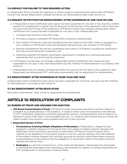# <span id="page-19-0"></span>11.4 DEFAULT FOR FAILURE TO TAKE REQUIRED ACTION

If a Respondent fails to provide the statement or written evidence required by this Article, then CFP Board Counsel may declare Respondent in default and deliver an Administrative Order under Article 4.2.

# 11.5 REQUEST OR PETITION FOR REINSTATEMENT AFTER SUSPENSION OF ONE YEAR OR LESS

- a. A Respondent whose Certification and License has been suspended for one year or less may file a written request for reinstatement no earlier than 30 days prior to the last day of the suspension and no later than five years from the first day of the suspension. CFP Board Counsel may reinstate a Respondent whose Certification and License has been suspended for one year or less if Respondent has:
	- 1. Complied with the terms of the DEC order;
	- 2. Provided a properly-completed CFP Board Ethics Disclosure Questionnaire;
	- 3. Not violated CFP Board's *Code and Standards* since the issuance of the DEC's order, or engaged in a prior violation of CFP Board's *Code and Standards* that previously was unknown to CFP Board;
	- 4. Paid the reinstatement fee and any outstanding costs owed to CFP Board, including any certification fees that accrued during the suspension; and
	- 5. Otherwise satisfied CFP Board's certification requirements, including any continuing education requirement that accrued during the suspension.
- b. If CFP Board Counsel does not reinstate a Respondent whose Certification and License has been suspended for one year or less, then Respondent may file a Petition for Reinstatement in accordance with Article 14.
- c. If Respondent does not request reinstatement within five years of the first date of the suspension, then Respondent has relinquished CFP® certification permanently, with no opportunity for reinstatement.

# 11.6 REINSTATEMENT AFTER SUSPENSION OF MORE THAN ONE YEAR

A Respondent whose Certification and License has been suspended for more than one year may file a Petition for Reinstatement in accordance with Article 14.

# 11.7 NO REINSTATEMENT AFTER REVOCATION

Revocation is permanent. There will be no opportunity for reinstatement.

# ARTICLE 12: RESOLUTION OF COMPLAINTS

# 12.1 BURDEN OF PROOF AND GROUNDS FOR SANCTION

a. CFP Board Counsel Burden of Proof. CFP Board Counsel must prove grounds for sanction raised in a Complaint by a preponderance of the evidence. A violation of the *Code and Standards* or the *Pathway to CFP® Certification Agreement* constitutes grounds for sanction. A preponderance of the evidence is a standard of review that means "more probable than not," i.e., evidence which shows that, as a whole, the matter sought to be proved is more probable than not to have occurred.

#### b. Respondent Burden of Proof

.

- 1. Circumstances Involving Multiple Allegations of Misconduct. If Respondent is alleged to have engaged in multiple instances of misconduct that is the subject of settled customer disputes and Respondent does not produce documents or information CFP Board Counsel requests that is material to the allegations of misconduct raised in or by the customer disputes, then the existence of the settled customer disputes will constitute grounds for sanction unless Respondent proves by a preponderance of the evidence that the allegations of misconduct raised in the settled customer disputes are without merit.
- 2. **Bankruptcy.** As set forth in section E.2.c. of the Code and Standards, a Respondent has the burden of rebutting the presumption that a bankruptcy demonstrates an inability to manage responsibly the CFP® professional's or the business's financial affairs.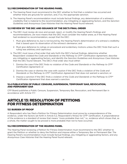## <span id="page-20-0"></span>12.2 RECOMMENDATION OF THE HEARING PANEL

- a. The Hearing Panel must recommend to the DEC whether to find that a violation has occurred and whether there are grounds for sanction, and, if so, the appropriate sanction.
- b. The Hearing Panel's recommendation must include factual findings, any determination of a witness's credibility that is material to the recommendation, any mitigating or aggravating factors, and the *Sanction Guidelines* and *Anonymous Case Histories* that the Hearing Panel found relevant.

# 12.3 REVIEW BY THE DEC AND ISSUANCE OF THE DEC'S FINAL ORDER

- a. The DEC must review *de novo* and accept, reject, or modify the Hearing Panel's findings and recommendations. *De novo* means that the DEC must consider the matter anew, as if the Hearing Panel had rendered no recommendation, except that the DEC:
	- 1. Must give deference to, but is not bound by, the Hearing Panel's determination of a witness's credibility that is based upon its observation of the witness's demeanor; and
	- 2. Must give deference to rulings on procedural and evidentiary motions unless the DEC finds that such a ruling was arbitrary and capricious.
- b. The DEC must issue a final order that sets forth the DEC's factual findings, determine whether Respondent violated the *Code and Standards* or the *Pathway to CFP® Certification Agreement*, describe any mitigating or aggravating factors, and identify the *Sanction Guidelines* and *Anonymous Case Histories* that the DEC found relevant. The DEC's final order also must either:
	- 1. Dismiss the case if the DEC finds no violation of the *Code and Standards* or the *Pathway to CFP® Certification Agreement*; or
	- 2. Dismiss the case or dismiss the case with caution if the DEC finds a violation of the *Code and Standards* or the *Pathway to CFP® Certification Agreement* that does not warrant a sanction; or
	- 3. Impose a sanction if the DEC finds a violation of the *Code and Standards* or the *Pathway to CFP® Certification Agreement* that does warrant a sanction.

# 12.4 PUBLICATION OF PUBLIC CENSURE, SUSPENSION, TEMPORARY BAR, REVOCATION, AND PERMANENT BAR

CFP Board publishes a Public Censure, Suspension, Temporary Bar, Revocation, and Permanent Bar in accordance with Article 17.7.

# ARTICLE 13: RESOLUTION OF PETITIONS FOR FITNESS DETERMINATION

# 13.1 BURDEN OF PROOF

A Respondent who has filed a Petition for Fitness Determination must prove by a preponderance of the evidence, under the factors set forth in Article 5.2, Respondent's fitness for CFP® certification. A preponderance of the evidence is a standard of review that means "more probable than not," i.e., evidence which shows that, as a whole, the matter sought to be proved is more probable than not to have occurred.

# 13.2 RECOMMENDATION OF THE HEARING PANEL

The Hearing Panel reviewing a Petition for Fitness Determination must recommend to the DEC whether to grant the Petition or whether to deny the Petition and impose either a Temporary Bar or Permanent Bar. The Hearing Panel's recommendation must include factual findings, any mitigating or aggravating factors, and any *Anonymous Case Histories* that the Hearing Panel found relevant.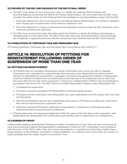## <span id="page-21-0"></span>13.3 REVIEW BY THE DEC AND ISSUANCE OF THE DEC'S FINAL ORDER

- a. The DEC must review *de novo* and accept, reject, or modify the Hearing Panel's findings and recommendations concerning the Petition for Fitness Determination. *De novo* means that the DEC must consider the matter anew, as if the Hearing Panel had rendered no recommendation, except that the DEC:
	- 1. Must give deference to, but is not bound by, the Hearing Panel's determination of a witness's credibility that is based upon its observation of the witness's demeanor; and
	- 2. Must give deference to rulings on procedural and evidentiary motions unless the DEC finds that such a ruling was arbitrary and capricious.
- b. The DEC must issue its final order that either grants the Petition or denies the Petition and imposes a Temporary Bar or a Permanent Bar. The DEC's final order also must set forth the DEC's factual findings, any mitigating or aggravating factors, and the *Anonymous Case Histories* that the DEC found relevant.

# 13.4 PUBLICATION OF TEMPORARY BAR AND PERMANENT BAR

CFP Board publishes a Temporary Bar and Permanent Bar in accordance with Article 17.7.

# ARTICLE 14: RESOLUTION OF PETITIONS FOR REINSTATEMENT FOLLOWING ORDER OF SUSPENSION OF MORE THAN ONE YEAR

#### 14.1 PETITION FOR REINSTATEMENT

- a. CFP Board must not reinstate a Respondent whose Certification and License the DEC or Appeals Commission has suspended for a period longer than one year unless Respondent has filed a written Petition for Reinstatement and the DEC or Appeals Commission has granted the Petition. A Respondent must file a Petition no earlier than six months prior to the last day of the suspension and no later than five years after the first day of the suspension. A hearing on a Respondent's Petition may be scheduled in accordance with Article 10.1. The DEC shall not consider Respondent's Petition unless Respondent has:
	- 1. Completed the suspension;
	- 2. Provided a properly-completed CFP Board Ethics Disclosure Questionnaire;
	- 3. Provided a written certification that Respondent has read, understands, and will comply with, the *Code and Standards*;
	- 4. Paid the reinstatement fee and any outstanding costs owed to CFP Board, including any certification fees that accrued during the suspension; and
	- 5. Otherwise satisfied CFP Board's certification requirements, including any continuing education requirement that accrued during the suspension.
- b. If Respondent does not request reinstatement within five years of the first date of the suspension, then Respondent has relinquished CFP® certification permanently, with no opportunity for reinstatement.

# 14.2 BURDEN OF PROOF

A Respondent seeking reinstatement following an Order of Suspension of more than one year must prove by clear and convincing evidence the Respondent's rehabilitation, fitness for CFP® certification, and compliance with the terms of the DEC's order. Clear and convincing evidence is a standard of review that is higher than a preponderance of the evidence, and means "a high probability," i.e., evidence which shows that, as a whole, it is highly probable that the matter sought to be proved is true.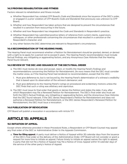# <span id="page-22-0"></span>14.3 PROVING REHABILITATION AND FITNESS

Factors relevant to rehabilitation and fitness include:

- a. Whether Respondent has violated CFP Board's *Code and Standards* since the issuance of the DEC's order, or engaged in a prior violation of CFP Board's *Code and Standards* that previously was unknown to CFP Board;
- b. Whether and how Respondent has taken actions that are designed to prevent the circumstances that resulted in a sanction from reoccurring in the future;
- c. Whether and how Respondent has integrated the *Code and Standards* in Respondent's practice;
- d. Whether Respondent has submitted positive letters of reference from current clients, supervisors, colleagues, or other professionals concerning the circumstances that resulted in a sanction or the Respondent's character; and
- e. Any other factors the DEC determines are relevant to Respondent's circumstances.

#### 14.4 RECOMMENDATION OF THE HEARING PANEL

The Hearing Panel must recommend whether a Petition for Reinstatement should be granted, denied, or denied with a right to re-apply for a period not to exceed 5 years. The Hearing Panel's recommendation must include factual findings, any mitigating or aggravating factors, and any *Anonymous Case Histories* that the Hearing Panel found relevant.

#### 14.5 REVIEW BY THE DEC AND ISSUANCE OF THE DEC'S FINAL ORDER

- a. The DEC must review *de novo* and accept, reject, or modify the Hearing Panel's findings and recommendations concerning the Petition for Reinstatement. *De novo* means that the DEC must consider the matter anew, as if the Hearing Panel had rendered no recommendation, except that the DEC:
	- 1. Must give deference to, but is not bound by, the Hearing Panel's determination of a witness's credibility that is based upon its observation of the witness's demeanor; and
	- 2. Must give deference to the Hearing Panel's rulings on procedural and evidentiary motions unless the DEC finds that such a ruling was arbitrary and capricious.
- b. The DEC must issue its final order that grants or denies the Petition and states the date, if any, after which Respondent may file a Renewed Petition for Reinstatement. The DEC's final order also must set forth the DEC's factual findings, any mitigating or aggravating factors, and the *Anonymous Case Histories* that the DEC found relevant. If the DEC denies Respondent's Petition for Reinstatement and does not authorize a Renewed Petition for Reinstatement, or the DEC denies Respondent's Renewed Petition for Reinstatement, the DEC must issue a revocation.

#### 14.6 PUBLICATION OF REVOCATION

CFP Board will publish a revocation in accordance with Article 17.7.

# ARTICLE 15: APPEALS

# 15.1 INITIATION OF APPEAL

Except where otherwise provided in these *Procedural Rules*, a Respondent or CFP Board Counsel may appeal any final order of the DEC or Administrative Order to the Appeals Commission.

a. Time for filing appeal. A party must deliver a Notice of Appeal within 30 calendar days from the issuance of the DEC's final order or the delivery of the Administrative Order. CFP Board will not consider or grant a request for more time to initiate an appeal. Failure timely to initiate an appeal waives the right to appeal. A party that did not file a Notice of Appeal may file a Notice of Cross Appeal within 14 calendar days of the service of the other party's Notice of Appeal.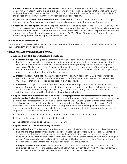- <span id="page-23-0"></span>b. Content of Notice of Appeal or Cross Appeal. The Notice of Appeal and Notice of Cross Appeal must be set forth on a form that CFP Board provides, or a short one-page document that identifies the party initiating the appeal, designates the DEC's final order or the Administrative Order that is the subject of the appeal, and notes whether the party requests an appeal hearing.
- c. Stay of the DEC's Final Order or the Administrative Order. Upon the successful initiation of an appeal, the order or the Administrative Order is stayed pending a decision by the Appeals Commission.
- d. Costs and Fees for Appeal. When a Respondent files a Notice of Appeal or Notice of Cross Appeal, CFP Board will assess the costs and fees that CFP Board has established for the appeal. Respondent must pay the costs and fees within 30 calendar days of delivery of the assessment, unless Respondent has obtained a waiver due to financial hardship pursuant to Article 17.4. The Chair of the Appeals Commission may dismiss an appeal for failure to pay the costs and fees.

#### 15.2 APPEALS COMMISSION

The Appeals Commission will review and decide all appeals. The Appeals Commission will be represented by counsel, including during any hearing.

#### 15.3 APPELLATE STANDARD OF REVIEW

- a. Appeals from DEC Orders Resolving Complaints.
	- 1. Factual Findings. The Appeals Commission must accept the DEC's factual findings unless the factual findings are unsupported by substantial evidence under the applicable burden of proof. Substantial evidence is such relevant evidence as a reasonable mind might accept as adequate to support a conclusion. The burden of proof for grounds for sanction is a preponderance of the evidence, which means "more probable than not," i.e., evidence which shows that, as a whole, the matter sought to be proved is more probable than not to have occurred.
	- 2. Interpretation or Application. The Appeals Commission must accept the DEC's interpretation or application of the *Code and Standards*, *Pathway to CFP® Certification Agreement*, and *Procedural Rules* unless that interpretation or application is unreasonable.
	- 3. **Sanctions.** The Appeals Commission must accept the DEC's imposition of a sanction unless the Appeals Commission determines that the imposition of a sanction is an abuse of discretion. An abuse of discretion is an error of judgment in issuing an order that is clearly unreasonable, erroneous, or arbitrary and not justified by the facts or the applicable standard.
- b. Appeals from Administrative Orders and Orders Denying Petition for Reinstatement Following an Administrative Order. The Appeals Commission must affirm an Administrative Order or an order denying a Petition for Reinstatement Following an Administrative Order unless Appellant establishes that the order is unsupported by substantial evidence or resulted from Appellant's "excusable neglect," which means that the failure to take proper steps at a proper time was not a consequence of carelessness but rather resulted from some unavoidable hindrance or occurrence. In determining whether excusable neglect exists, relevant considerations include:
	- 1. The reason for the default, including whether it was within the Appellant's control;
	- 2. Whether the Appellant acted in good faith; and
	- 3. The potential prejudice to the public or CFP Board.

#### c. Appeals from DEC Orders Resolving Petitions.

- 1. **Factual Findings.** The Appeals Commission must accept the DEC's factual findings unless the factual findings are unsupported by substantial evidence under the applicable burden of proof. Substantial evidence is such relevant evidence as a reasonable mind might accept as adequate to support a conclusion. The burden of proof for a Respondent who filed a Petition for Reinstatement following an Order of Suspension is clear and convincing evidence. The burden of proof for a Respondent who filed a Petition for Fitness Determination is a preponderance of the evidence.
- 2. Interpretation or Application. The Appeals Commission must accept the DEC's interpretation or application of the Fitness Standards, *Code and Standards*, *Pathway to CFP® Certification Agreement*, and *Procedural Rules* unless that interpretation or application is unreasonable.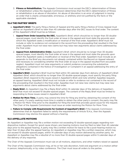<span id="page-24-0"></span>3. **Fitness or Rehabilitation.** The Appeals Commission must accept the DEC's determination of fitness or rehabilitation unless the Appeals Commission determines that the DEC's determination of fitness or rehabilitation is an abuse of discretion. An abuse of discretion is an error of judgment in issuing an order that is clearly unreasonable, erroneous, or arbitrary and not justified by the facts or the applicable standard.

## 15.4 THE PARTIES' BRIEFS

- a. **Appellant's Brief.** The party filing a Notice of Appeal and the party filing a Notice of Cross Appeal must deliver an Appellant's Brief no later than 45 calendar days after the DEC issues its final order. The content of the Appellant's Brief must be as follows:
	- 1. Appeal from Order issued by the DEC. Appellant's Brief, which should be no longer than 30 doublespaced pages, must identify the final order at issue in the appeal and must state the grounds upon which the Appellant seeks a modification or reversal of the final order. Appellant's Brief must not include or refer to evidence not contained in the record from the proceeding that resulted in the final order. Appellant must not raise new claims but may raise new arguments about claims addressed by the final order.
	- 2. **Appeal from Administrative Order.** Appellant's Brief, which should be no longer than 30 doublespaced pages, must identify the final order at issue in the appeal and must state the grounds upon which the Appellant seeks a modification or reversal of the final order. Appellant must include as an appendix to the Brief any documents not already contained within the Record on Appeal relevant and necessary to considering whether the final order at issue in the appeal resulted from excusable neglect. Appellant must not raise arguments or submit evidence concerning the substantive allegations contained in the Notice of Investigation or Complaint in an appeal addressing the entry of the final order.
- b. **Appellee's Brief.** Appellee's Brief must be filed within 30 calendar days from delivery of Appellant's Brief. Appellee's Brief, which should be no longer than 30 double-spaced pages, must specify the party filing Appellee's Brief, respond to the issues raised in Appellant's Brief, and note whether Appellee requests an appeal hearing. Appellee's Brief must not include or refer to evidence not contained in the record of the proceeding that resulted in the final order. Appellee must not raise new claims but may raise new arguments about claims addressed by the final order.
- c. **Reply Brief.** An Appellant may file a Reply Brief within 14 calendar days of the delivery of Appellee's Brief that must not exceed 10 double-spaced pages. The content of the Reply Brief must be limited to responding to those issues raised in Appellee's Brief.
- d. Motion for More Time. A party may extend the time for filing any brief by obtaining the consent of the other party. If a party seeking more time is unable to obtain the other party's consent, the party may file a Motion for More Time prior to the deadline for filing the brief that provides good cause for the request. The Chair of the Appeals Commission must issue an order resolving the Motion for More Time.
- e. Failure to Comply with Requirements for Content of Appellant's Brief. If the Appeals Commission determines that an Appellant failed to satisfy the requirements of Article 15.4.a., then the Appeals Commission may dismiss the appeal without a hearing.

#### 15.5 APPELLATE MOTIONS

An Appellant or Appellee may file a written motion not exceeding 10 double-spaced pages regarding nondispositive matters. Except for good cause shown, pre-hearing motions must be filed no later than 45 calendar days prior to the appeal hearing. A party may file a written motion for leave to file a post-hearing motion no later than 14 days after the appeal hearing. An Appellant or Appellee may file a written response, which may not exceed 10 double-spaced pages, within 14 calendar days of any motion delivered by another party. An Appellant or Appellee may file a rebuttal of no more than 10 double-spaced pages within 5 calendar days of the delivery of any response.

The Chair of the Appeals Commission must rule on all motions, objections, and other matters raised on appeal.

The Chair of the Appeals Commission may, at his or her sole discretion, hold oral argument on a motion either in person, telephonically, or by video conference. The Chair must issue all orders to the parties.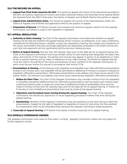#### <span id="page-25-0"></span>15.6 THE RECORD ON APPEAL

- a. **Appeal from Final Order Issued by the DEC.** The record on appeal will consist of the documents provided to the DEC; all motions, responses to motions and orders resolving motions; the transcript of any hearing before the Hearing Panel; the DEC's final order; the Notice of Appeal; and all Briefs filed by the parties on appeal.
- b. **Appeal from Administrative Order.** The record on appeal will consist of the Administrative Order; the Notice of Appeal; and all Briefs and appendices filed by the parties on appeal.
- c. Preparation of Record. CFP Board Counsel must prepare the record on appeal, submit it to the Appeals Commission, and deliver a copy to the Appellee or Appellant.

# 15.7 APPEAL RESOLUTION

- a. **Authority to Hold a Hearing.** The Chair of the Appeals Commission must determine whether an appeal hearing will be held and whether the appeal hearing will be in person, by telephone, or by video conference, considering the following factors: whether a party has requested a hearing; the novelty and complexity of the issues; and whether the facts and legal arguments are adequately presented in the briefs and record, such that oral argument will not significantly aid the decision-making process.
- b. **Notice of Appeal Hearing.** Not less than 30 calendar days prior to the date set for an appeal hearing, the Chair of the Appeals Commission must issue written notice of such hearing that designates the date, time, place, and manner of the hearing. The parties and counsel may appear in person or by telephone or video at any in person hearing, and by video or telephone at any video hearing. The Notice of Appeal Hearing must also inform the parties of the name and employer of each member of the Appeals Commission. A party must file any motion for recusal in accordance with Article 17.3.b.
- c. Presentations at Hearing. At the hearing, both Appellant and Appellee may make affirmative presentations limited to 20 minutes each, and Appellant will be permitted an additional 5-minutes to present a rebuttal to Appellee's affirmative presentation. Affirmative presentations must address only those issues raised in the parties' Briefs. The rebuttal must address only those issues raised during Appellee's affirmative presentation.
	- 1. **Motion for More Time.** The Chair of the Appeals Commission may consider motions from the Appellant or Appellee requesting additional time for affirmative presentations and may grant such motions upon a showing of good cause. A motion for more than 5 additional minutes of presentation time must be made in writing not less than 30 calendar days prior to the date set for an appeal hearing. A motion for 5 minutes or less of additional presentation time may be made at the appeal hearing.
	- 2. **Objections and Procedural Issues Arising During the Appeal Hearing.** The Chair of the Appeals Commission will decide any objections or issues regarding procedural matters that arise during the appeal hearing.
	- 3. **Questioning.** Members of the Appeals Commission may ask questions at any time during or after the presentations. Subject to the right of Appellant or Appellee to move for more time, the time allotted for presentation shall not be extended solely because the Appeals Commission asked questions.
- d. Transcript of Appeal Hearing. CFP Board must obtain a written transcript of an appeal hearing.

# 15.8 APPEALS COMMISSION ORDERS

The Appeals Commission must issue its final order in writing. Appeals Commission orders are not subject to further appeal or review.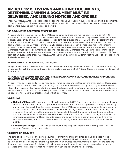# <span id="page-26-0"></span>ARTICLE 16: DELIVERING AND FILING DOCUMENTS, DETERMINING WHEN A DOCUMENT MUST BE DELIVERED, AND ISSUING NOTICES AND ORDERS

These *Procedural Rules* set deadlines for a Respondent and CFP Board Counsel to deliver and file documents. This Article sets forth the requirements for delivering and filing documents, determining the date when a document is due, and issuing notices and orders.

# 16.1 DOCUMENTS DELIVERED BY CFP BOARD

A Respondent is required to provide CFP Board an email address and mailing address, and to notify CFP Board within 30 calendar days of any changes to that information. CFP Board may send or deliver documents to Respondent through the email address Respondent has provided to CFP Board either by attaching the document to the email or by providing in the email the information necessary for Respondent to access the documents by electronic means, or if no email address is available, then by first class mail to the mailing address the Respondent has provided to CFP Board. In matters where Respondent has designated counsel, CFP Board must deliver documents to Respondent's counsel. CFP Board may utilize the same methods of delivery on appeal. A Respondent's failure to provide accurate contact information will not prevent CFP Board from acting pursuant to these *Procedural Rules*, including by issuing an Administrative Order of Revocation or a final order of sanction.

# 16.2 DOCUMENTS DELIVERED TO CFP BOARD

Except where CFP Board otherwise specifies, a Respondent may deliver documents to CFP Board, including on appeal, through the email address or to the mailing address that CFP Board Counsel provides for delivery of documents.

## 16.3 ORDERS ISSUED BY THE DEC AND THE APPEALS COMMISSION, AND NOTICES AND ORDERS DELIVERED BY CFP BOARD COUNSEL

An order may be issued and a notice may be delivered to Respondent through the email address Respondent has provided to CFP Board either by attaching the document to the email or by providing in the email the information necessary for Respondent to access the documents by electronic means, or if no email address is available, by first class mail to the mailing address the Respondent has provided to CFP Board. An order may be issued to CFP Board Counsel by email or first class mail.

# 16.4 FILING

- a. **Method of Filing.** A Respondent may file a document with CFP Board by attaching the document to an email to CFP Board Counsel through the email address CFP Counsel has provided to Respondent or by providing in the email the information necessary for CFP Board to access the documents by electronic means, or by first class mail addressed to CFP Board's mailing address. CFP Board Counsel may file a document by delivering the document to Respondent through the email address Respondent has provided to CFP Board either by attaching the document to the email or by providing in the email the information necessary for Respondent to access the documents by electronic means, or if no email address is available, then by first class mail to the mailing address Respondent has provided to CFP Board.
- b. **Availability of Filings.** CFP Board Counsel must make filings available to the Hearing Panel, DEC, or Appeals Commission, as appropriate.

# 16.5 DATE OF DELIVERY

The date of delivery will be the day a document is transmitted through email or mail. This date will be determined by the day noted on the document being delivered. The document must be transmitted for delivery on the date of the document. A postmark on an envelope is presumptive evidence of the date the document was transmitted for delivery. For documents sent by email, the date and time reflected in the metadata of the email is presumptive evidence of when the document was delivered.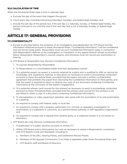# <span id="page-27-0"></span>16.6 CALCULATION OF TIME

When the *Procedural Rules* state a time in calendar days:

- a. Exclude the day of the event that triggers the period;
- b. Count every day, including intervening Saturdays, Sundays, and federal legal holidays; and
- c. Include the last day of the period, but, if the last day is a Saturday, Sunday, or federal legal holiday, the period continues to run until the end of the next day that is not a Saturday, Sunday, or federal legal holiday.

# ARTICLE 17: GENERAL PROVISIONS

# 17.1 CONFIDENTIALITY

- a. Except as provided below, the existence of an investigation and adjudication by CFP Board and the information obtained pursuant to these *Procedural Rules* ("Confidential Information") will be confidential and will not be made public. Respondent must use such Confidential Information solely in connection with Respondent's defense of the investigation or Complaint, or any appeal thereof, except as provided below. Respondent, Respondent's counsel, experts, and witnesses must not record any examination or hearing.
- b. CFP Board or Respondent may disclose Confidential Information:
	- 1. To counsel designated by Respondent;
	- 2. To Respondents in a consolidated matter and their designated counsel;
	- 3. To a potential expert (an expert is a person retained by a party who is qualified to offer an opinion by knowledge, skill, experience, training, or education) as necessary to assist in proceedings conducted pursuant to these *Procedural Rules*, provided that the expert executes a written confidentiality agreement that prohibits the expert from disclosing the Confidential Information to third parties, and that the expert is required to return or destroy any copy of any document containing Confidential Information at the conclusion of the expert's engagement;
	- 4. To a potential witness (and counsel for the witness) as necessary to assist in proceedings conducted pursuant to these *Procedural Rules*, provided that the witness (and counsel for the witness) is not permitted to retain a copy of a document containing Confidential Information;
	- 5. To stenographers or video equipment operators who assist with the recordation of an oral examination or a hearing;
	- 6. As required to comply with federal, state, or local law;
	- 7. As required to comply with a properly authorized civil, criminal, or regulatory investigation or examination, or a subpoena or summons, by a governmental authority or self-regulatory organization; and
	- 8. As required to comply with a request from another party, or a subpoena issued, in a civil action or arbitration.
- c. CFP Board also may disclose Confidential Information:
	- 1. In publication of a public sanction pursuant to Article 17.7;
	- 2. Within CFP Board and to third parties, but only as necessary to assess a Respondent's compliance with CFP Board's *Code and Standards*, including to:
		- a. Members of the DEC, Hearing Panels, and Settlement Review Panels;
		- b. Members of the Appeals Commission, if an Order is appealed under these *Procedural Rules*; and
		- c. CFP Board's staff and Board of Directors.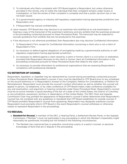- <span id="page-28-0"></span>3. To individuals who filed a complaint with CFP Board against a Respondent, but unless otherwise provided in this Article, only to notify the individual that their complaint remains under review or investigation, or that the review of their complaint is complete and that a public sanction has or has not been issued.
- 4. To a governmental agency or industry self-regulatory organization having appropriate jurisdiction over Respondent; and
- 5. If Respondent has waived confidentiality.
- d. Upon request, CFP Board also may disclose to an examinee who testified at an oral examination or hearing a copy of the transcript of the examinee's testimony and any exhibits that the examinee produced in the proceeding conducted pursuant to these *Procedural Rules*. The transcript may be redacted to exclude quotations from exhibits that are not produced to the examinee.
- e. If the disclosure is not otherwise prohibited, then Respondent also may disclose Confidential Information:
	- 1. To Respondent's Firm, except for Confidential Information concerning a client who is not a client of Respondent's Firm;
	- 2. As necessary to defend against allegations of wrongdoing made by a governmental authority or selfregulatory organization having appropriate jurisdiction;
	- 3. As necessary to defend against a claim raised by a client or former client in a civil action or arbitration, provided that Respondent discloses to the client or former client all Confidential Information in the proceeding conducted pursuant to these *Procedural Rules* that relate to the claim; and
	- 4. As necessary to provide information to professional organizations that are assessing Respondent's compliance with professional standards.

#### 17.2 RETENTION OF COUNSEL

Respondent, Appellant, or Appellee may be represented by counsel during proceedings conducted pursuant to these *Procedural Rules*. Respondent's counsel, if any, must be identified to CFP Board prior to any scheduled on the record testimony or in Respondent's Answer to the Complaint, Petition for Consideration, or Petition for Reinstatement. Respondent must provide the counsel's contact information as well as whether the counsel will appear in person, via telephone, or by video conference (if CFP Board makes video conference available) for any oral examination, oral argument, or hearing conducted under these *Procedural Rules*. Respondent's counsel must be an active member in good standing of the bar of a state of the United States, the District of Columbia, or any jurisdiction, possession, territory or dependency of the United States. The DEC Chair and Appeals Commission Chair may prohibit the appearance of Respondent's counsel if either determines that Respondent's counsel has not complied with any guidelines or standards that CFP Board establishes for outside counsel. If CFP Board prohibits Respondent's counsel from appearing, Respondent may designate substitute counsel. Respondent must promptly inform CFP Board in the event Respondent's counsel withdraws or otherwise ceases to represent Respondent in the proceedings.

#### 17.3 RECUSAL

- a. **Standard for Recusal.** A member of the DEC, a Hearing Panel, a Settlement Review Panel, or the Appeals Commission ("Member") must not participate in any proceeding in which the Member's impartiality might reasonably be questioned, including but not limited to the following circumstances::
	- 1. The Member has a personal bias or prejudice concerning a party or a party's counsel, or personal knowledge of facts that are in dispute in the proceeding.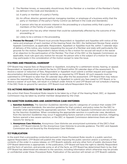- <span id="page-29-0"></span>2. The Member knows, or reasonably should know, that the Member or a member of the Member's Family (as defined in the *Code and Standards*) is:
	- (a) A party or member of a party's Family;
	- (b) An officer, director, general partner, managing member, or employee of a business entity that the party or members of the party's Family Control (as defined in the *Code and Standards*);
	- (c) A person who has an economic interest in the proceeding or a business entity that a party or members of the Family of a party Control;
	- (d) A person who has any other interest that could be substantially affected by the outcome of the proceeding; or
	- (e) Likely to be a witness in the proceeding.
- b. Process for Recusal. CFP Board must provide Respondent or Appellant and Appellee with notice of the name and employer of each member of the Hearing Panel, the DEC, the Settlement Review Panel, and/or Appeals Commission, as applicable. Respondent, Appellant or Appellee must file, within 7 calendar days of delivery of this notice, any motion requesting the recusal of a Member and state with particularity the grounds for the motion. Respondent's failure timely to file a motion for recusal will result in the waiver of an objection to the participation of the Member. The Chair of the DEC or the Appeals Commission, as applicable, must rule upon any motion for recusal. No person who is the subject of a motion for recusal may participate in the consideration of the motion except to raise the issue.

#### 17.4 FEES AND FINANCIAL HARDSHIP

CFP Board may impose fees on Respondent or Appellant, including for a settlement review, hearing, or appeal. Respondent or Appellant must submit the fee to CFP Board within 30 calendar days of the assessment. To receive a waiver or reduction of fees, Respondent or Appellant must submit a written request and supporting documentation demonstrating a financial hardship, as required by CFP Board. All such requests must be submitted to CFP Board no later than 30 calendar days after the fee assessment. CFP Board then may reduce or waive the required fees. Failure by Respondent or Appellant to submit any fees owed to CFP Board, or to receive a waiver of such fees, will result in a Default under Article 4.1 and CFP Board will not schedule a hearing. If the DEC finds no ground for sanction, CFP Board must refund Respondent the fee.

# 17.5 ACTIONS REQUIRED TO BE TAKEN BY A CHAIR

Any action that these *Procedural Rules* require to be taken by a Chair of the Hearing Panel, DEC, or Appeals Commission may be taken by another member designated by the Chair.

#### 17.6 SANCTION GUIDELINES AND ANONYMOUS CASE HISTORIES

- a. Sanction Guidelines. The *Sanction Guidelines* identifies specific categories of conduct that violate CFP Board's *Code and Standards*, the sanction guideline for that conduct, and policy notes for the DEC to consider when determining the appropriate sanction. The DEC and Appeals Commission are not bound by the *Sanction Guidelines*. When considering the appropriate sanction in a particular case, deviations from the *Sanction Guidelines* may occur if aggravating factors warrant a more severe sanction, mitigating factors warrant a less severe sanction, or the DEC or Appeals Commission determines there are other reasons for doing so.
- b. Anonymous Case Histories. *Anonymous Case Histories* are anonymized summaries of the DEC's final orders. CFP Board intends for the *Anonymous Case Histories* to provide guidance. The DEC and Appeals Commission are not bound by the *Anonymous Case Histories*.

#### 17.7 PUBLICATION

In the event that a proceeding conducted pursuant to these *Procedural Rules* results in a public sanction against Respondent, CFP Board will publish the order imposing the public sanction and/or a summary of the contents of the order in a press release, on CFP Board's website, and any other form of public disclosure that CFP Board determines is appropriate. In the publication, CFP Board will have the right to identify Respondent and the form of sanction, and provide some or all of the facts, as CFP Board has determined them to be, that CFP Board has determined are relevant to the sanction, including information which otherwise may be private or confidential under these *Procedural Rules*. Publication of the sanction will remain on CFP Board's website.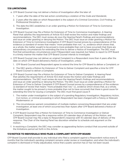# <span id="page-30-0"></span>17.8 LIMITATIONS

- a. CFP Board Counsel may not deliver a Notice of Investigation after the later of:
	- 1. 7 years after the date of the last action constituting a violation of the *Code and Standards*;
	- 2. 2 years after the date on which Respondent is the subject of a Criminal Conviction, Civil Finding, or Professional Discipline; or
	- 3. The date the DEC establishes in an order granting a Motion for Extension of Time to Commence Investigation.
- b. CFP Board Counsel may file a Motion for Extension of Time to Commence Investigation. A Hearing Panel that satisfies the requirements of Article 10.5 shall review the motion and make findings and recommendations. The DEC must review *de novo* the Hearing Panel's findings and recommendations and issue an order granting or denying the Motion. The DEC must issue an order granting a Motion for Extension of Time to Commence Investigation if CFP Board Counsel proves by a preponderance of the evidence (a standard of review that means "more probable than not," i.e., evidence which shows that, as a whole, the matter sought to be proved is more probable than not to have occurred) that there are extraordinary circumstances for extending the time to deliver a Notice of Investigation. The DEC must find that extraordinary circumstances exist if Respondent was required, but failed, to report to CFP Board in a timely manner the matter that CFP Board Counsel intends to investigate.
- c. CFP Board Counsel may not deliver an original Complaint to a Respondent more than 4 years after the date on which CFP Board delivered a Notice of Investigation, unless:
	- 1. CFP Board Counsel and Respondent agree to extend the time for CFP Board to deliver a Complaint; or
	- 2. The DEC grants a Motion for Extension of Time to Deliver Complaint and specifies a time for CFP Board Counsel to deliver a Complaint.
- d. CFP Board Counsel may file a Motion for Extension of Time to Deliver Complaint. A Hearing Panel that satisfies the requirements of Article 10.5 shall review the motion and make findings and recommendations. The DEC must review *de novo* the Hearing Panel's findings and recommendations and issue an order granting or denying the Motion. The DEC must issue an order granting a Motion for Extension of Time to Deliver Complaint if CFP Board Counsel proves by a preponderance of the evidence (a standard of review that means "more probable than not," i.e., evidence which shows that, as a whole, the matter sought to be proved is more probable than not to have occurred) that there is good cause for extending the time for issuing a Complaint. The DEC must find good cause if:
	- 1. The matter under investigation is the subject of a pending Regulatory Investigation, Regulatory Action, Civil Action, or criminal proceeding in which Respondent has been charged with a Felony or Relevant Misdemeanor; or
	- 2. The circumstances warrant consolidation of multiple matters concerning Respondent that are under investigation, at least one of which occurred less than 4years after CFP Board delivered a Notice of Investigation.
- e. If CFP Board Counsel files a Motion for Extension of Time to Commence Investigation or Deliver Complaint, Respondent may file a response within 20 calendar days of delivery of the Motion, and CFP Board Counsel may file a reply to Respondent's response with 10 calendar days of delivery of the response. The Chair of the Hearing Panel has discretion whether to schedule oral argument on the motion.
- f. In resolving a Complaint, the DEC may consider as aggravating factors conduct that occurred outside of the limitations period set forth in this Article.

# 17.9NOTICE TO INDIVIDUALS WHO FILED A COMPLAINT WITH CFP BOARD

CFP Board Counsel shall provide to any individual who filed a complaint against a Respondent notice every 6 months that the individual's pending complaint remains under review or investigation, and when the individual's complaint is dismissed or finally adjudicated, notice that a public sanction has or has not been issued.